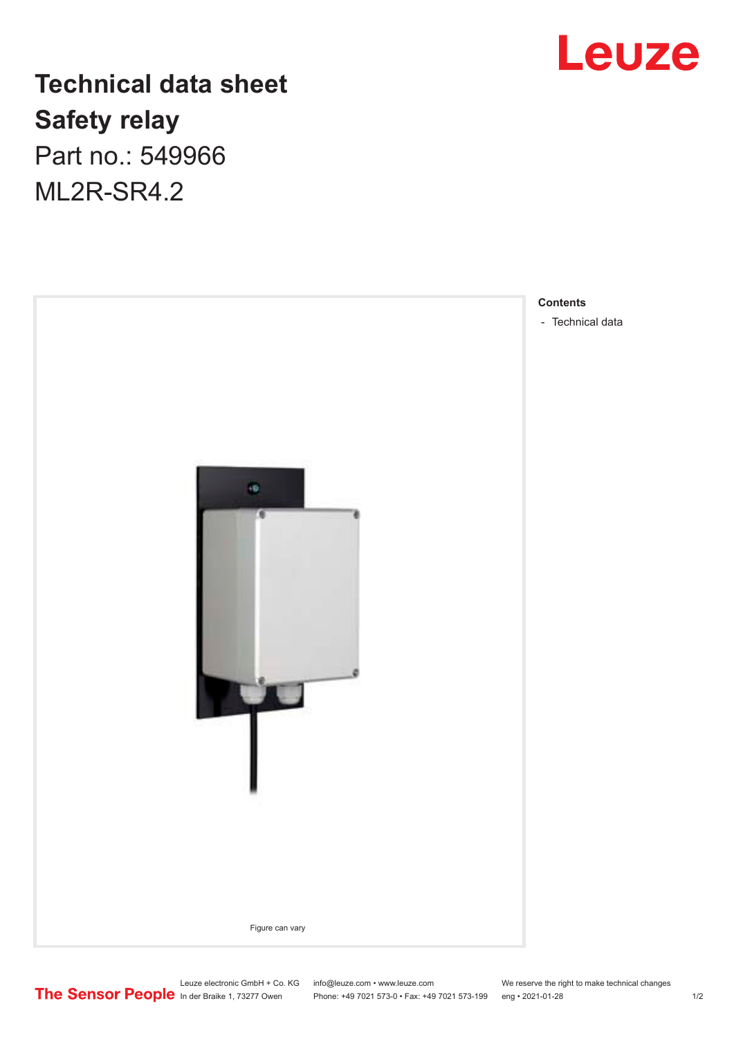## Leuze

### **Technical data sheet Safety relay** Part no.: 549966

ML2R-SR4.2